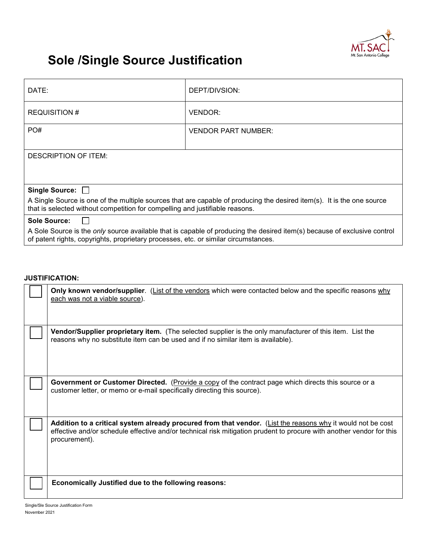

## **Sole /Single Source Justification**

| DATE:                                                                                                                                                                                                           | DEPT/DIVSION:              |  |  |
|-----------------------------------------------------------------------------------------------------------------------------------------------------------------------------------------------------------------|----------------------------|--|--|
| <b>REQUISITION #</b>                                                                                                                                                                                            | VENDOR:                    |  |  |
| PO#                                                                                                                                                                                                             | <b>VENDOR PART NUMBER:</b> |  |  |
| DESCRIPTION OF ITEM:                                                                                                                                                                                            |                            |  |  |
|                                                                                                                                                                                                                 |                            |  |  |
| Single Source: □                                                                                                                                                                                                |                            |  |  |
| A Single Source is one of the multiple sources that are capable of producing the desired item(s). It is the one source<br>that is selected without competition for compelling and justifiable reasons.          |                            |  |  |
| <b>Sole Source:</b>                                                                                                                                                                                             |                            |  |  |
| A Sole Source is the only source available that is capable of producing the desired item(s) because of exclusive control<br>of patent rights, copyrights, proprietary processes, etc. or similar circumstances. |                            |  |  |

## **JUSTIFICATION:**

| Only known vendor/supplier. (List of the vendors which were contacted below and the specific reasons why<br>each was not a viable source).                                                                                                           |
|------------------------------------------------------------------------------------------------------------------------------------------------------------------------------------------------------------------------------------------------------|
| <b>Vendor/Supplier proprietary item.</b> (The selected supplier is the only manufacturer of this item. List the<br>reasons why no substitute item can be used and if no similar item is available).                                                  |
| Government or Customer Directed. (Provide a copy of the contract page which directs this source or a<br>customer letter, or memo or e-mail specifically directing this source).                                                                      |
| Addition to a critical system already procured from that vendor. (List the reasons why it would not be cost<br>effective and/or schedule effective and/or technical risk mitigation prudent to procure with another vendor for this<br>procurement). |
| Economically Justified due to the following reasons:                                                                                                                                                                                                 |

Single/Sle Source Justification Form November 2021